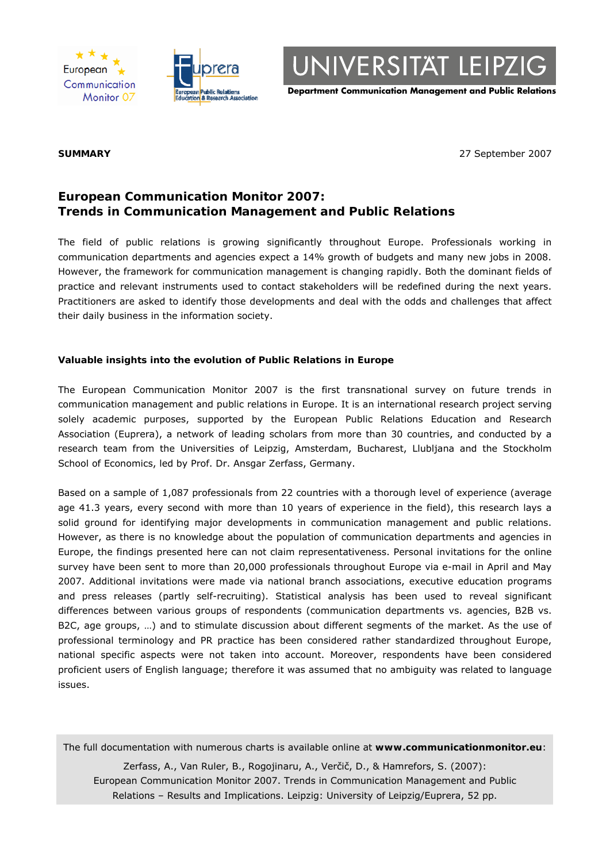



UNIVERSITÄT LEIPZIG

**Department Communication Management and Public Relations**

**SUMMARY** 27 September 2007

# **European Communication Monitor 2007: Trends in Communication Management and Public Relations**

The field of public relations is growing significantly throughout Europe. Professionals working in communication departments and agencies expect a 14% growth of budgets and many new jobs in 2008. However, the framework for communication management is changing rapidly. Both the dominant fields of practice and relevant instruments used to contact stakeholders will be redefined during the next years. Practitioners are asked to identify those developments and deal with the odds and challenges that affect their daily business in the information society.

# **Valuable insights into the evolution of Public Relations in Europe**

The European Communication Monitor 2007 is the first transnational survey on future trends in communication management and public relations in Europe. It is an international research project serving solely academic purposes, supported by the European Public Relations Education and Research Association (Euprera), a network of leading scholars from more than 30 countries, and conducted by a research team from the Universities of Leipzig, Amsterdam, Bucharest, Llubljana and the Stockholm School of Economics, led by Prof. Dr. Ansgar Zerfass, Germany.

Based on a sample of 1,087 professionals from 22 countries with a thorough level of experience (average age 41.3 years, every second with more than 10 years of experience in the field), this research lays a solid ground for identifying major developments in communication management and public relations. However, as there is no knowledge about the population of communication departments and agencies in Europe, the findings presented here can not claim representativeness. Personal invitations for the online survey have been sent to more than 20,000 professionals throughout Europe via e-mail in April and May 2007. Additional invitations were made via national branch associations, executive education programs and press releases (partly self-recruiting). Statistical analysis has been used to reveal significant differences between various groups of respondents (communication departments vs. agencies, B2B vs. B2C, age groups, …) and to stimulate discussion about different segments of the market. As the use of professional terminology and PR practice has been considered rather standardized throughout Europe, national specific aspects were not taken into account. Moreover, respondents have been considered proficient users of English language; therefore it was assumed that no ambiguity was related to language issues.

The full documentation with numerous charts is available online at **www.communicationmonitor.eu**:

Zerfass, A., Van Ruler, B., Rogojinaru, A., Verčič, D., & Hamrefors, S. (2007): European Communication Monitor 2007. Trends in Communication Management and Public Relations – Results and Implications. Leipzig: University of Leipzig/Euprera, 52 pp.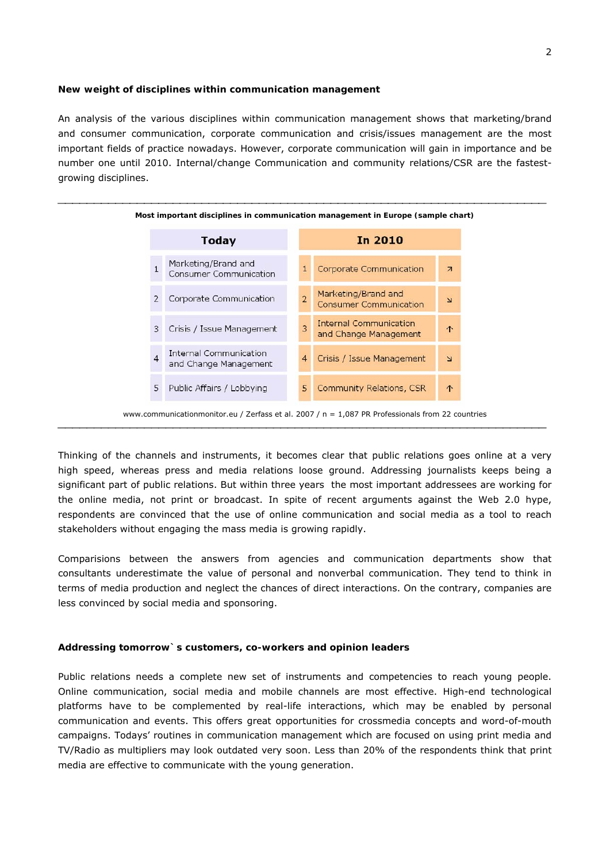### **New weight of disciplines within communication management**

An analysis of the various disciplines within communication management shows that marketing/brand and consumer communication, corporate communication and crisis/issues management are the most important fields of practice nowadays. However, corporate communication will gain in importance and be number one until 2010. Internal/change Communication and community relations/CSR are the fastestgrowing disciplines.



Thinking of the channels and instruments, it becomes clear that public relations goes online at a very high speed, whereas press and media relations loose ground. Addressing journalists keeps being a significant part of public relations. But within three years the most important addressees are working for the online media, not print or broadcast. In spite of recent arguments against the Web 2.0 hype, respondents are convinced that the use of online communication and social media as a tool to reach stakeholders without engaging the mass media is growing rapidly.

Comparisions between the answers from agencies and communication departments show that consultants underestimate the value of personal and nonverbal communication. They tend to think in terms of media production and neglect the chances of direct interactions. On the contrary, companies are less convinced by social media and sponsoring.

#### **Addressing tomorrow`s customers, co-workers and opinion leaders**

Public relations needs a complete new set of instruments and competencies to reach young people. Online communication, social media and mobile channels are most effective. High-end technological platforms have to be complemented by real-life interactions, which may be enabled by personal communication and events. This offers great opportunities for crossmedia concepts and word-of-mouth campaigns. Todays' routines in communication management which are focused on using print media and TV/Radio as multipliers may look outdated very soon. Less than 20% of the respondents think that print media are effective to communicate with the young generation.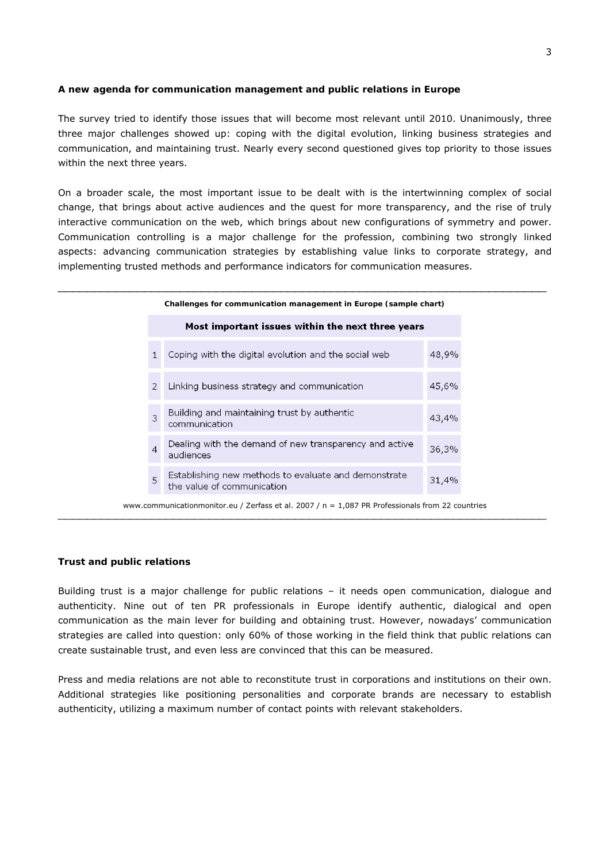# **A new agenda for communication management and public relations in Europe**

The survey tried to identify those issues that will become most relevant until 2010. Unanimously, three three major challenges showed up: coping with the digital evolution, linking business strategies and communication, and maintaining trust. Nearly every second questioned gives top priority to those issues within the next three years.

On a broader scale, the most important issue to be dealt with is the intertwinning complex of social change, that brings about active audiences and the quest for more transparency, and the rise of truly interactive communication on the web, which brings about new configurations of symmetry and power. Communication controlling is a major challenge for the profession, combining two strongly linked aspects: advancing communication strategies by establishing value links to corporate strategy, and implementing trusted methods and performance indicators for communication measures.

|                | Challenges for communication management in Europe (sample chart)                                   |       |
|----------------|----------------------------------------------------------------------------------------------------|-------|
|                | Most important issues within the next three years                                                  |       |
|                | Coping with the digital evolution and the social web                                               | 48,9% |
| $\mathcal{P}$  | Linking business strategy and communication                                                        | 45,6% |
| 3              | Building and maintaining trust by authentic<br>communication                                       | 43,4% |
| $\overline{4}$ | Dealing with the demand of new transparency and active<br>audiences                                | 36,3% |
| 5              | Establishing new methods to evaluate and demonstrate<br>the value of communication                 | 31,4% |
|                | www.communicationmonitor.eu / Zerfass et al. 2007 / $n = 1,087$ PR Professionals from 22 countries |       |

#### **Trust and public relations**

Building trust is a major challenge for public relations – it needs open communication, dialogue and authenticity. Nine out of ten PR professionals in Europe identify authentic, dialogical and open communication as the main lever for building and obtaining trust. However, nowadays' communication strategies are called into question: only 60% of those working in the field think that public relations can create sustainable trust, and even less are convinced that this can be measured.

⎯⎯⎯⎯⎯⎯⎯⎯⎯⎯⎯⎯⎯⎯⎯⎯⎯⎯⎯⎯⎯⎯⎯⎯⎯⎯⎯⎯⎯⎯⎯⎯⎯⎯⎯⎯⎯⎯⎯⎯⎯⎯⎯⎯⎯⎯⎯⎯⎯⎯⎯⎯⎯⎯⎯⎯⎯⎯⎯⎯⎯⎯⎯⎯⎯⎯⎯⎯

Press and media relations are not able to reconstitute trust in corporations and institutions on their own. Additional strategies like positioning personalities and corporate brands are necessary to establish authenticity, utilizing a maximum number of contact points with relevant stakeholders.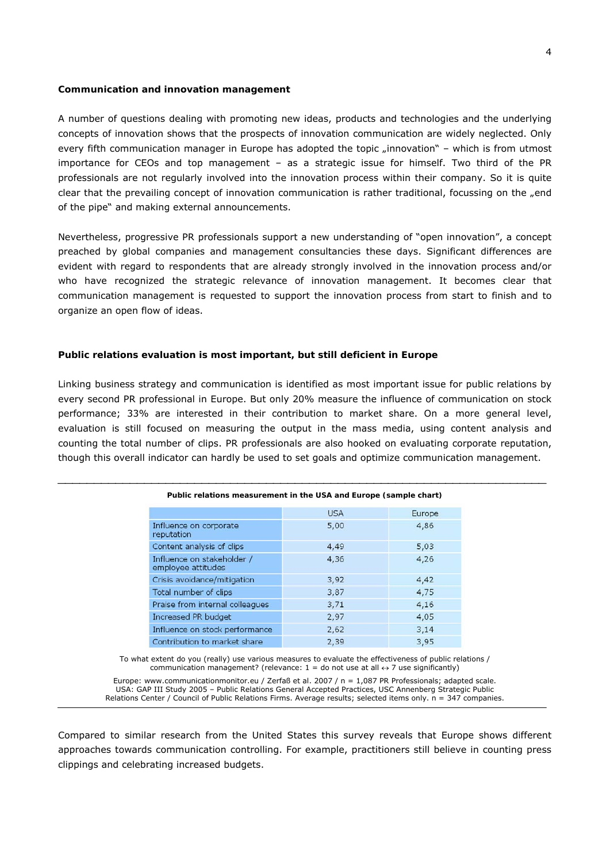#### **Communication and innovation management**

A number of questions dealing with promoting new ideas, products and technologies and the underlying concepts of innovation shows that the prospects of innovation communication are widely neglected. Only every fifth communication manager in Europe has adopted the topic "innovation" - which is from utmost importance for CEOs and top management – as a strategic issue for himself. Two third of the PR professionals are not regularly involved into the innovation process within their company. So it is quite clear that the prevailing concept of innovation communication is rather traditional, focussing on the "end of the pipe" and making external announcements.

Nevertheless, progressive PR professionals support a new understanding of "open innovation", a concept preached by global companies and management consultancies these days. Significant differences are evident with regard to respondents that are already strongly involved in the innovation process and/or who have recognized the strategic relevance of innovation management. It becomes clear that communication management is requested to support the innovation process from start to finish and to organize an open flow of ideas.

#### **Public relations evaluation is most important, but still deficient in Europe**

Linking business strategy and communication is identified as most important issue for public relations by every second PR professional in Europe. But only 20% measure the influence of communication on stock performance; 33% are interested in their contribution to market share. On a more general level, evaluation is still focused on measuring the output in the mass media, using content analysis and counting the total number of clips. PR professionals are also hooked on evaluating corporate reputation, though this overall indicator can hardly be used to set goals and optimize communication management.

⎯⎯⎯⎯⎯⎯⎯⎯⎯⎯⎯⎯⎯⎯⎯⎯⎯⎯⎯⎯⎯⎯⎯⎯⎯⎯⎯⎯⎯⎯⎯⎯⎯⎯⎯⎯⎯⎯⎯⎯⎯⎯⎯⎯⎯⎯⎯⎯⎯⎯⎯⎯⎯⎯⎯⎯⎯⎯⎯⎯⎯⎯⎯⎯⎯⎯⎯⎯

| Public relations measurement in the USA and Europe (sample chart) |            |        |  |  |
|-------------------------------------------------------------------|------------|--------|--|--|
|                                                                   | <b>USA</b> | Europe |  |  |
| Influence on corporate<br>reputation                              | 5,00       | 4,86   |  |  |
| Content analysis of clips                                         | 4,49       | 5,03   |  |  |
| Influence on stakeholder /<br>employee attitudes                  | 4,36       | 4,26   |  |  |
| Crisis avoidance/mitigation                                       | 3,92       | 4,42   |  |  |
| Total number of clips                                             | 3,87       | 4,75   |  |  |
| Praise from internal colleagues                                   | 3,71       | 4,16   |  |  |
| Increased PR budget                                               | 2,97       | 4,05   |  |  |
| Influence on stock performance                                    | 2,62       | 3,14   |  |  |
| Contribution to market share                                      | 2,39       | 3,95   |  |  |

To what extent do you (really) use various measures to evaluate the effectiveness of public relations / communication management? (relevance:  $1 =$  do not use at all  $\leftrightarrow$  7 use significantly)

Europe: www.communicationmonitor.eu / Zerfaß et al. 2007 / n = 1,087 PR Professionals; adapted scale. USA: GAP III Study 2005 – Public Relations General Accepted Practices, USC Annenberg Strategic Public Relations Center / Council of Public Relations Firms. Average results; selected items only. n = 347 companies. ⎯⎯⎯⎯⎯⎯⎯⎯⎯⎯⎯⎯⎯⎯⎯⎯⎯⎯⎯⎯⎯⎯⎯⎯⎯⎯⎯⎯⎯⎯⎯⎯⎯⎯⎯⎯⎯⎯⎯⎯⎯⎯⎯⎯⎯⎯⎯⎯⎯⎯⎯⎯⎯⎯⎯⎯⎯⎯⎯⎯⎯⎯⎯⎯⎯⎯⎯⎯

Compared to similar research from the United States this survey reveals that Europe shows different approaches towards communication controlling. For example, practitioners still believe in counting press clippings and celebrating increased budgets.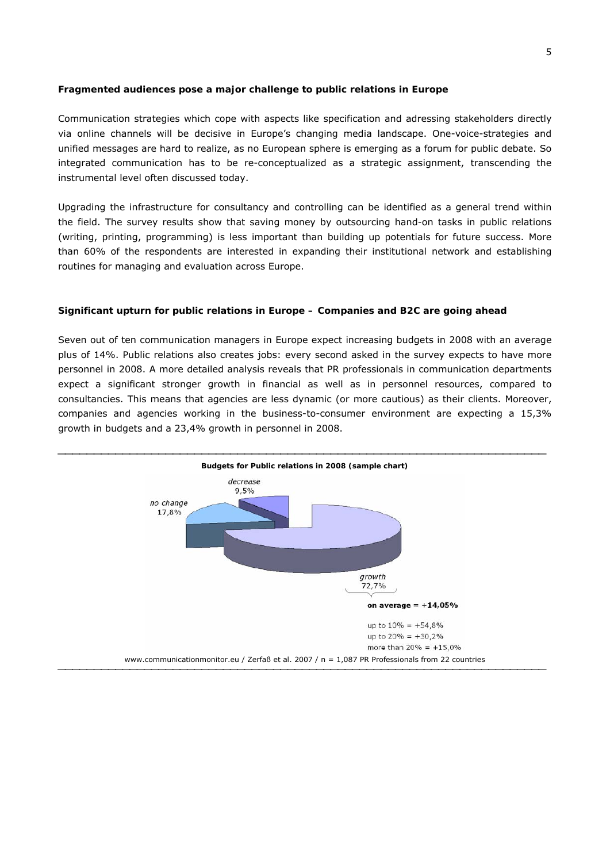# **Fragmented audiences pose a major challenge to public relations in Europe**

Communication strategies which cope with aspects like specification and adressing stakeholders directly via online channels will be decisive in Europe's changing media landscape. One-voice-strategies and unified messages are hard to realize, as no European sphere is emerging as a forum for public debate. So integrated communication has to be re-conceptualized as a strategic assignment, transcending the instrumental level often discussed today.

Upgrading the infrastructure for consultancy and controlling can be identified as a general trend within the field. The survey results show that saving money by outsourcing hand-on tasks in public relations (writing, printing, programming) is less important than building up potentials for future success. More than 60% of the respondents are interested in expanding their institutional network and establishing routines for managing and evaluation across Europe.

# **Significant upturn for public relations in Europe – Companies and B2C are going ahead**

Seven out of ten communication managers in Europe expect increasing budgets in 2008 with an average plus of 14%. Public relations also creates jobs: every second asked in the survey expects to have more personnel in 2008. A more detailed analysis reveals that PR professionals in communication departments expect a significant stronger growth in financial as well as in personnel resources, compared to consultancies. This means that agencies are less dynamic (or more cautious) as their clients. Moreover, companies and agencies working in the business-to-consumer environment are expecting a 15,3% growth in budgets and a 23,4% growth in personnel in 2008.